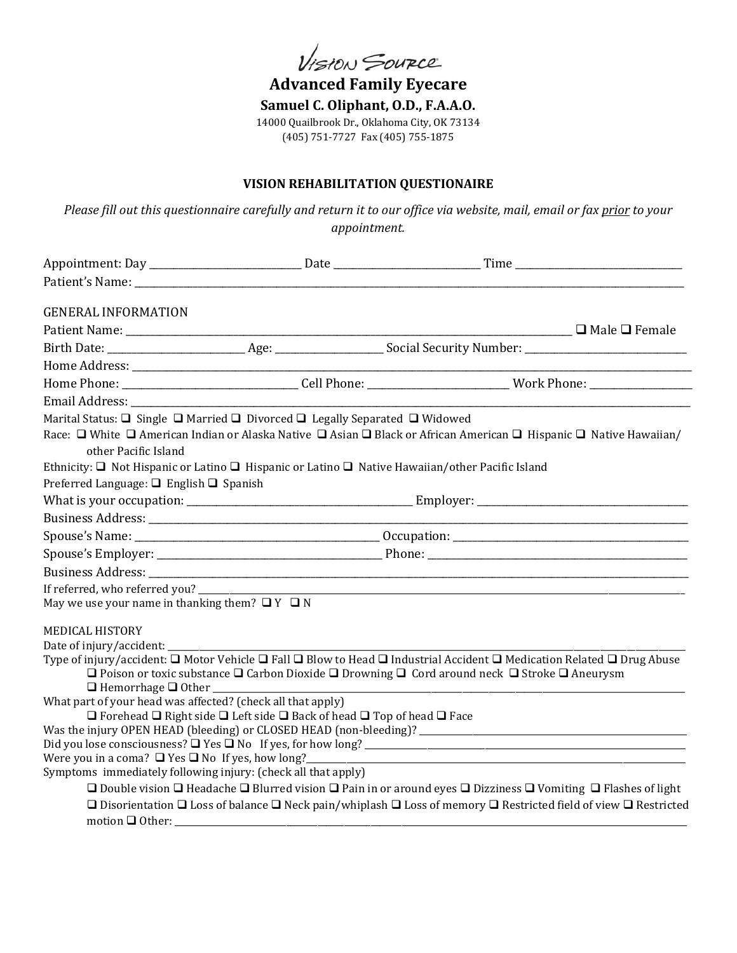VISION SOURCE

**Advanced Family Eyecare Samuel C. Oliphant, O.D., F.A.A.O.** 14000 Quailbrook Dr., Oklahoma City, OK 73134 (405) 751-7727 Fax (405) 755-1875

## **VISION REHABILITATION QUESTIONAIRE**

*Please fill out this questionnaire carefully and return it to our office via website, mail, email or fax prior to your appointment.*

| <b>GENERAL INFORMATION</b>                                                  |                                                                                                       |                                                                                                                                                      |  |
|-----------------------------------------------------------------------------|-------------------------------------------------------------------------------------------------------|------------------------------------------------------------------------------------------------------------------------------------------------------|--|
|                                                                             |                                                                                                       |                                                                                                                                                      |  |
|                                                                             |                                                                                                       |                                                                                                                                                      |  |
|                                                                             |                                                                                                       |                                                                                                                                                      |  |
|                                                                             |                                                                                                       |                                                                                                                                                      |  |
|                                                                             |                                                                                                       |                                                                                                                                                      |  |
| Marital Status: □ Single □ Married □ Divorced □ Legally Separated □ Widowed |                                                                                                       |                                                                                                                                                      |  |
| other Pacific Island                                                        |                                                                                                       | Race: □ White □ American Indian or Alaska Native □ Asian □ Black or African American □ Hispanic □ Native Hawaiian/                                   |  |
|                                                                             |                                                                                                       | Ethnicity: $\Box$ Not Hispanic or Latino $\Box$ Hispanic or Latino $\Box$ Native Hawaiian/other Pacific Island                                       |  |
| Preferred Language: $\Box$ English $\Box$ Spanish                           |                                                                                                       |                                                                                                                                                      |  |
|                                                                             |                                                                                                       |                                                                                                                                                      |  |
|                                                                             |                                                                                                       |                                                                                                                                                      |  |
|                                                                             |                                                                                                       |                                                                                                                                                      |  |
|                                                                             |                                                                                                       |                                                                                                                                                      |  |
|                                                                             |                                                                                                       |                                                                                                                                                      |  |
|                                                                             |                                                                                                       |                                                                                                                                                      |  |
| May we use your name in thanking them? $\Box$ $Y$ $\Box$ N                  |                                                                                                       |                                                                                                                                                      |  |
| <b>MEDICAL HISTORY</b>                                                      |                                                                                                       |                                                                                                                                                      |  |
| Date of injury/accident: ________                                           |                                                                                                       |                                                                                                                                                      |  |
|                                                                             |                                                                                                       | Type of injury/accident: $\Box$ Motor Vehicle $\Box$ Fall $\Box$ Blow to Head $\Box$ Industrial Accident $\Box$ Medication Related $\Box$ Drug Abuse |  |
|                                                                             |                                                                                                       | $\Box$ Poison or toxic substance $\Box$ Carbon Dioxide $\Box$ Drowning $\Box$ Cord around neck $\Box$ Stroke $\Box$ Aneurysm                         |  |
| What part of your head was affected? (check all that apply)                 |                                                                                                       |                                                                                                                                                      |  |
|                                                                             | $\Box$ Forehead $\Box$ Right side $\Box$ Left side $\Box$ Back of head $\Box$ Top of head $\Box$ Face |                                                                                                                                                      |  |
|                                                                             |                                                                                                       | Was the injury OPEN HEAD (bleeding) or CLOSED HEAD (non-bleeding)? _________________________________                                                 |  |
|                                                                             |                                                                                                       |                                                                                                                                                      |  |
| Were you in a coma? $\Box$ Yes $\Box$ No If yes, how long?                  |                                                                                                       |                                                                                                                                                      |  |
| Symptoms immediately following injury: (check all that apply)               |                                                                                                       |                                                                                                                                                      |  |
|                                                                             |                                                                                                       | $\Box$ Double vision $\Box$ Headache $\Box$ Blurred vision $\Box$ Pain in or around eyes $\Box$ Dizziness $\Box$ Vomiting $\Box$ Flashes of light    |  |
|                                                                             |                                                                                                       | □ Disorientation □ Loss of balance □ Neck pain/whiplash □ Loss of memory □ Restricted field of view □ Restricted                                     |  |
|                                                                             |                                                                                                       |                                                                                                                                                      |  |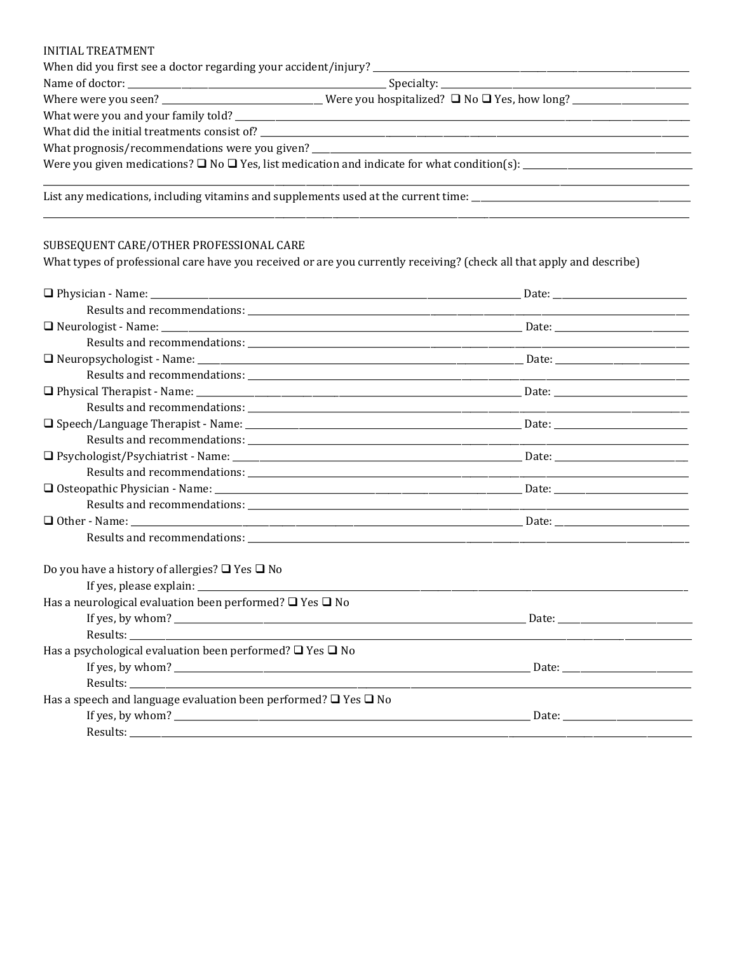#### **INITIAL TREATMENT**

|  | List any medications, including vitamins and supplements used at the current time: __________________________ |  |
|--|---------------------------------------------------------------------------------------------------------------|--|

### SUBSEQUENT CARE/OTHER PROFESSIONAL CARE

What types of professional care have you received or are you currently receiving? (check all that apply and describe)

| Do you have a history of allergies? $\Box$ Yes $\Box$ No                  |  |
|---------------------------------------------------------------------------|--|
|                                                                           |  |
| Has a neurological evaluation been performed? $\Box$ Yes $\Box$ No        |  |
|                                                                           |  |
|                                                                           |  |
| Has a psychological evaluation been performed? $\Box$ Yes $\Box$ No       |  |
|                                                                           |  |
|                                                                           |  |
| Has a speech and language evaluation been performed? $\Box$ Yes $\Box$ No |  |
| If yes, by whom? $\qquad \qquad$ Date:                                    |  |
|                                                                           |  |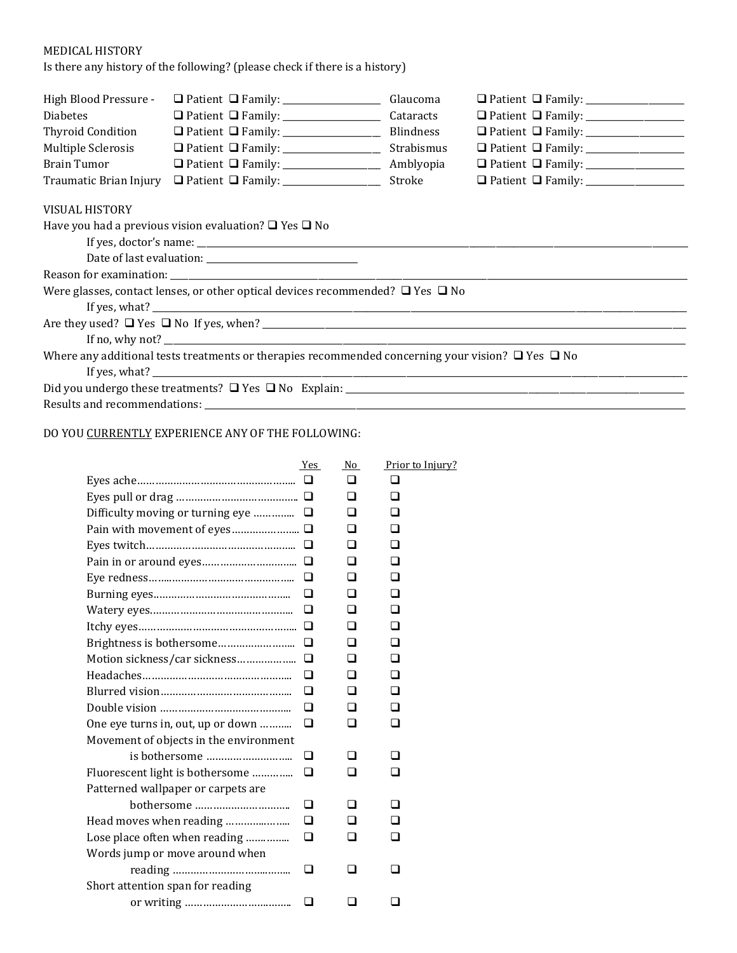# MEDICAL HISTORY

Is there any history of the following? (please check if there is a history)

| High Blood Pressure -  |                                                                                                             | Glaucoma   |                                                  |
|------------------------|-------------------------------------------------------------------------------------------------------------|------------|--------------------------------------------------|
| <b>Diabetes</b>        |                                                                                                             | Cataracts  | □ Patient □ Family: ________________             |
| Thyroid Condition      |                                                                                                             |            | □ Patient □ Family: _______________              |
| Multiple Sclerosis     |                                                                                                             | Strabismus | □ Patient □ Family: _______________              |
| Brain Tumor            |                                                                                                             |            | $\Box$ Patient $\Box$ Family: __________________ |
| Traumatic Brian Injury | $\Box$ Patient $\Box$ Family: _________________                                                             | Stroke     |                                                  |
| <b>VISUAL HISTORY</b>  |                                                                                                             |            |                                                  |
|                        | Have you had a previous vision evaluation? $\Box$ Yes $\Box$ No                                             |            |                                                  |
|                        |                                                                                                             |            |                                                  |
|                        |                                                                                                             |            |                                                  |
|                        |                                                                                                             |            |                                                  |
|                        | Were glasses, contact lenses, or other optical devices recommended? $\Box$ Yes $\Box$ No                    |            |                                                  |
|                        |                                                                                                             |            |                                                  |
|                        |                                                                                                             |            |                                                  |
|                        |                                                                                                             |            |                                                  |
|                        | Where any additional tests treatments or therapies recommended concerning your vision? $\Box$ Yes $\Box$ No |            |                                                  |
|                        |                                                                                                             |            |                                                  |
|                        |                                                                                                             |            |                                                  |
|                        |                                                                                                             |            |                                                  |

## DO YOU CURRENTLY EXPERIENCE ANY OF THE FOLLOWING:

|                                        | Yes    | No  | Prior to Injury? |
|----------------------------------------|--------|-----|------------------|
|                                        | $\Box$ | □   | □                |
|                                        |        | □   | □                |
| Difficulty moving or turning eye       | ⊔      | ⊓   |                  |
|                                        |        | n   | П                |
|                                        | □      | n   | □                |
|                                        | □      | □   |                  |
|                                        | ◻      | □   | n                |
|                                        | □      | □   | □                |
|                                        | □      | □   |                  |
|                                        |        | n   | □                |
|                                        | □      | □   | □                |
|                                        | ப      | ⊓   |                  |
|                                        | □      | □   | □                |
|                                        | ◻      | n   | n                |
|                                        | □      | ⊓   | ◻                |
| One eye turns in, out, up or down      | □      | □   | □                |
| Movement of objects in the environment |        |     |                  |
|                                        | ப      | ப   |                  |
| Fluorescent light is bothersome        | □      | n   |                  |
| Patterned wallpaper or carpets are     |        |     |                  |
| bothersome                             | ◻      | O   |                  |
| Head moves when reading                | $\Box$ |     |                  |
| Lose place often when reading          | ப      |     |                  |
| Words jump or move around when         |        |     |                  |
|                                        | ❏      | □   | □                |
| Short attention span for reading       |        |     |                  |
|                                        | ப      | l 1 | ப                |
|                                        |        |     |                  |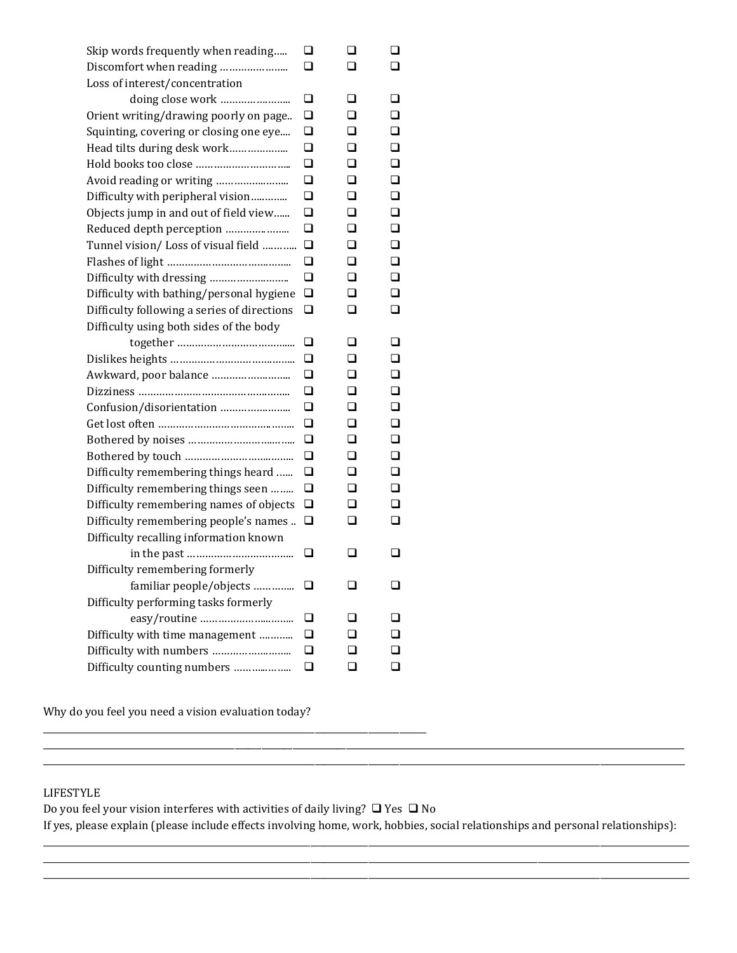| Skip words frequently when reading          | ⊔ | ப | ⊔      |
|---------------------------------------------|---|---|--------|
| Discomfort when reading                     | ◻ | □ | □      |
| Loss of interest/concentration              |   |   |        |
|                                             | ❏ | ப | □      |
| Orient writing/drawing poorly on page       | ❏ | □ | □      |
| Squinting, covering or closing one eye      | ◻ | □ | □      |
| Head tilts during desk work                 | ❏ | ◻ | □      |
|                                             | ◻ | □ | □      |
|                                             | ❏ | ◻ | ◻      |
| Difficulty with peripheral vision           | ◻ | ◻ | ◻      |
| Objects jump in and out of field view       | ❏ | ◻ | $\Box$ |
|                                             | ◻ | ◻ | □      |
| Tunnel vision/ Loss of visual field         | ❏ | ◻ | ◻      |
|                                             | □ | ◻ | □      |
|                                             | ❏ | ◻ | □      |
| Difficulty with bathing/personal hygiene    | ◻ | ◻ | □      |
| Difficulty following a series of directions | ❏ | ப | ◻      |
| Difficulty using both sides of the body     |   |   |        |
|                                             | ⊔ | ப | ப      |
|                                             | ❏ | □ | ⊓      |
|                                             | ❏ | П | □      |
|                                             | ◻ | □ | □      |
|                                             | ❏ | □ | □      |
|                                             | ❏ | □ | □      |
|                                             | ❏ | □ | ◻      |
|                                             | □ | ◻ | □      |
| Difficulty remembering things heard         | ◻ | ◻ | ◻      |
| Difficulty remembering things seen          | ◻ | □ | □      |
| Difficulty remembering names of objects     | ❏ | □ | □      |
| Difficulty remembering people's names       | ◻ | □ | □      |
| Difficulty recalling information known      |   |   |        |
| in the past<br>.                            | ◻ | □ | ⊔      |
| Difficulty remembering formerly             |   |   |        |
| familiar people/objects                     |   | ◻ |        |
| Difficulty performing tasks formerly        |   |   |        |
|                                             | ❏ | ◻ | □      |
| Difficulty with time management             | ❏ |   |        |
|                                             | ◻ |   | ◻      |
| Difficulty counting numbers                 | ❏ | □ | ◻      |

Why do you feel you need a vision evaluation today?

\_\_\_\_\_\_\_\_\_\_\_\_\_\_\_\_\_\_\_\_\_\_\_\_\_\_\_\_\_\_\_\_\_\_\_\_\_\_\_\_\_\_\_\_\_\_\_\_\_\_\_\_\_\_\_\_\_\_\_\_\_\_\_\_\_\_\_\_\_\_\_\_\_\_\_\_\_\_\_\_\_\_\_\_\_\_

### LIFESTYLE

Do you feel your vision interferes with activities of daily living?  $\Box$  Yes  $\Box$  No If yes, please explain (please include effects involving home, work, hobbies, social relationships and personal relationships):

\_\_\_\_\_\_\_\_\_\_\_\_\_\_\_\_\_\_\_\_\_\_\_\_\_\_\_\_\_\_\_\_\_\_\_\_\_\_\_\_\_\_\_\_\_\_\_\_\_\_\_\_\_\_\_\_\_\_\_\_\_\_\_\_\_\_\_\_\_\_\_\_\_\_\_\_\_\_\_\_\_\_\_\_\_\_\_\_\_\_\_\_\_\_\_\_\_\_\_\_\_\_\_\_\_\_\_\_\_\_\_\_\_\_\_\_\_\_\_\_\_\_\_\_\_\_\_\_\_\_\_\_\_\_\_\_\_\_\_\_\_\_\_\_\_ \_\_\_\_\_\_\_\_\_\_\_\_\_\_\_\_\_\_\_\_\_\_\_\_\_\_\_\_\_\_\_\_\_\_\_\_\_\_\_\_\_\_\_\_\_\_\_\_\_\_\_\_\_\_\_\_\_\_\_\_\_\_\_\_\_\_\_\_\_\_\_\_\_\_\_\_\_\_\_\_\_\_\_\_\_\_\_\_\_\_\_\_\_\_\_\_\_\_\_\_\_\_\_\_\_\_\_\_\_\_\_\_\_\_\_\_\_\_\_\_\_\_\_\_\_\_\_\_\_\_\_\_\_\_\_\_\_\_\_\_\_\_\_\_\_

\_\_\_\_\_\_\_\_\_\_\_\_\_\_\_\_\_\_\_\_\_\_\_\_\_\_\_\_\_\_\_\_\_\_\_\_\_\_\_\_\_\_\_\_\_\_\_\_\_\_\_\_\_\_\_\_\_\_\_\_\_\_\_\_\_\_\_\_\_\_\_\_\_\_\_\_\_\_\_\_\_\_\_\_\_\_\_\_\_\_\_\_\_\_\_\_\_\_\_\_\_\_\_\_\_\_\_\_\_\_\_\_\_\_\_\_\_\_\_\_\_\_\_\_\_\_\_\_\_\_\_\_\_\_\_\_\_\_\_\_\_\_\_\_\_

\_\_\_\_\_\_\_\_\_\_\_\_\_\_\_\_\_\_\_\_\_\_\_\_\_\_\_\_\_\_\_\_\_\_\_\_\_\_\_\_\_\_\_\_\_\_\_\_\_\_\_\_\_\_\_\_\_\_\_\_\_\_\_\_\_\_\_\_\_\_\_\_\_\_\_\_\_\_\_\_\_\_\_\_\_\_\_\_\_\_\_\_\_\_\_\_\_\_\_\_\_\_\_\_\_\_\_\_\_\_\_\_\_\_\_\_\_\_\_\_\_\_\_\_\_\_\_\_\_\_\_\_\_\_\_\_\_\_\_\_\_\_\_\_ \_\_\_\_\_\_\_\_\_\_\_\_\_\_\_\_\_\_\_\_\_\_\_\_\_\_\_\_\_\_\_\_\_\_\_\_\_\_\_\_\_\_\_\_\_\_\_\_\_\_\_\_\_\_\_\_\_\_\_\_\_\_\_\_\_\_\_\_\_\_\_\_\_\_\_\_\_\_\_\_\_\_\_\_\_\_\_\_\_\_\_\_\_\_\_\_\_\_\_\_\_\_\_\_\_\_\_\_\_\_\_\_\_\_\_\_\_\_\_\_\_\_\_\_\_\_\_\_\_\_\_\_\_\_\_\_\_\_\_\_\_\_\_\_